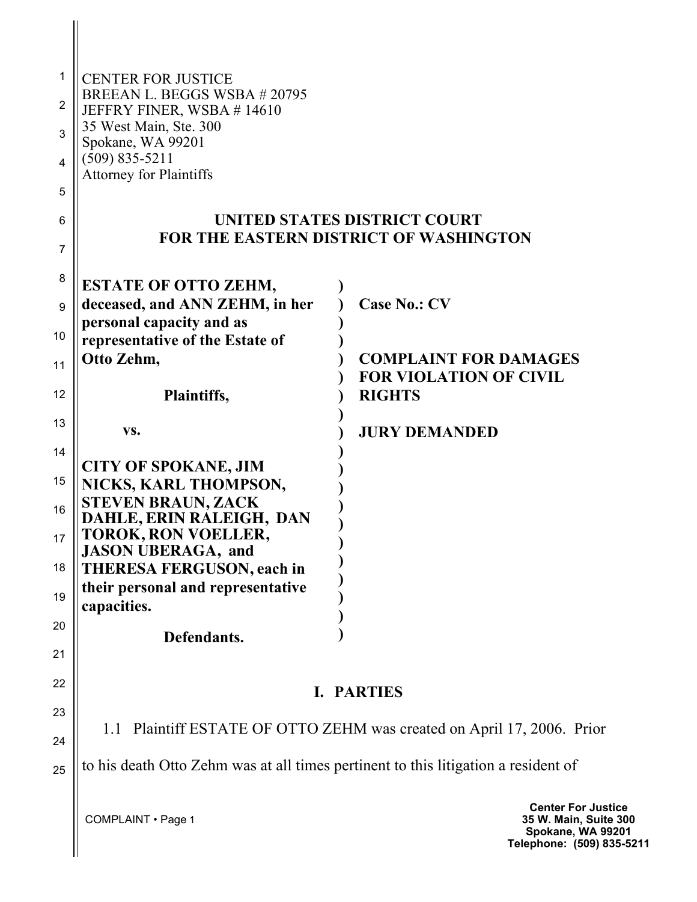| 1              | <b>CENTER FOR JUSTICE</b>                                                          |                                                                                                |
|----------------|------------------------------------------------------------------------------------|------------------------------------------------------------------------------------------------|
| $\overline{c}$ | BREEAN L. BEGGS WSBA #20795<br>JEFFRY FINER, WSBA #14610                           |                                                                                                |
| 3              | 35 West Main, Ste. 300                                                             |                                                                                                |
| 4              | Spokane, WA 99201<br>$(509) 835 - 5211$                                            |                                                                                                |
| 5              | <b>Attorney for Plaintiffs</b>                                                     |                                                                                                |
| 6              |                                                                                    | UNITED STATES DISTRICT COURT                                                                   |
| $\overline{7}$ |                                                                                    | <b>FOR THE EASTERN DISTRICT OF WASHINGTON</b>                                                  |
| 8              | <b>ESTATE OF OTTO ZEHM,</b>                                                        |                                                                                                |
| 9              | deceased, and ANN ZEHM, in her                                                     | <b>Case No.: CV</b>                                                                            |
| 10             | personal capacity and as<br>representative of the Estate of                        |                                                                                                |
| 11             | Otto Zehm,                                                                         | <b>COMPLAINT FOR DAMAGES</b><br><b>FOR VIOLATION OF CIVIL</b>                                  |
| 12             | Plaintiffs,                                                                        | <b>RIGHTS</b>                                                                                  |
| 13             | VS.                                                                                | <b>JURY DEMANDED</b>                                                                           |
| 14             | <b>CITY OF SPOKANE, JIM</b>                                                        |                                                                                                |
| 15             | NICKS, KARL THOMPSON,                                                              |                                                                                                |
| 16             | <b>STEVEN BRAUN, ZACK</b><br>DAHLE, ERIN RALEIGH, DAN                              |                                                                                                |
| 17             | TOROK, RON VOELLER,<br><b>JASON UBERAGA</b> , and                                  |                                                                                                |
| 18             | THERESA FERGUSON, each in<br>their personal and representative                     |                                                                                                |
| 19             | capacities.                                                                        |                                                                                                |
| 20             | Defendants.                                                                        |                                                                                                |
| 21             |                                                                                    |                                                                                                |
| 22             | I. PARTIES                                                                         |                                                                                                |
| 23<br>24       | 1.1 Plaintiff ESTATE OF OTTO ZEHM was created on April 17, 2006. Prior             |                                                                                                |
| 25             | to his death Otto Zehm was at all times pertinent to this litigation a resident of |                                                                                                |
|                | COMPLAINT . Page 1                                                                 | <b>Center For Justice</b><br>35 W. Main, Suite 30<br>Spokane, WA 9920<br>Telephone: (509) 835- |

**35 W. Main, Suite 300 Spokane, WA 99201 Telephone: (509) 835-5211**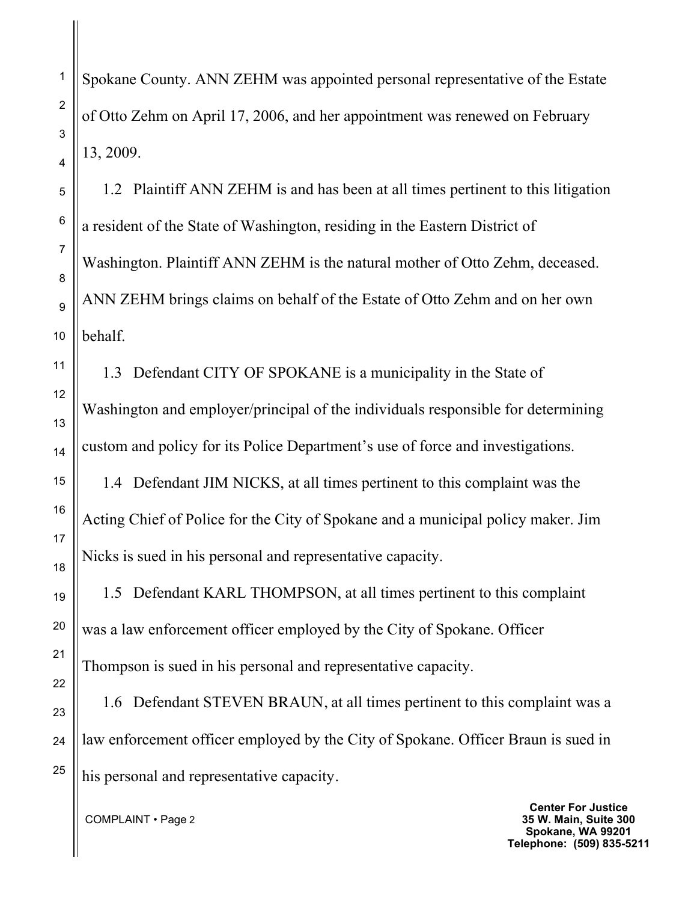Spokane County. ANN ZEHM was appointed personal representative of the Estate of Otto Zehm on April 17, 2006, and her appointment was renewed on February 13, 2009.

1.2 Plaintiff ANN ZEHM is and has been at all times pertinent to this litigation a resident of the State of Washington, residing in the Eastern District of Washington. Plaintiff ANN ZEHM is the natural mother of Otto Zehm, deceased. ANN ZEHM brings claims on behalf of the Estate of Otto Zehm and on her own behalf.

1.3 Defendant CITY OF SPOKANE is a municipality in the State of Washington and employer/principal of the individuals responsible for determining custom and policy for its Police Department's use of force and investigations.

1.4 Defendant JIM NICKS, at all times pertinent to this complaint was the Acting Chief of Police for the City of Spokane and a municipal policy maker. Jim Nicks is sued in his personal and representative capacity.

1.5 Defendant KARL THOMPSON, at all times pertinent to this complaint was a law enforcement officer employed by the City of Spokane. Officer Thompson is sued in his personal and representative capacity.

1.6 Defendant STEVEN BRAUN, at all times pertinent to this complaint was a law enforcement officer employed by the City of Spokane. Officer Braun is sued in his personal and representative capacity.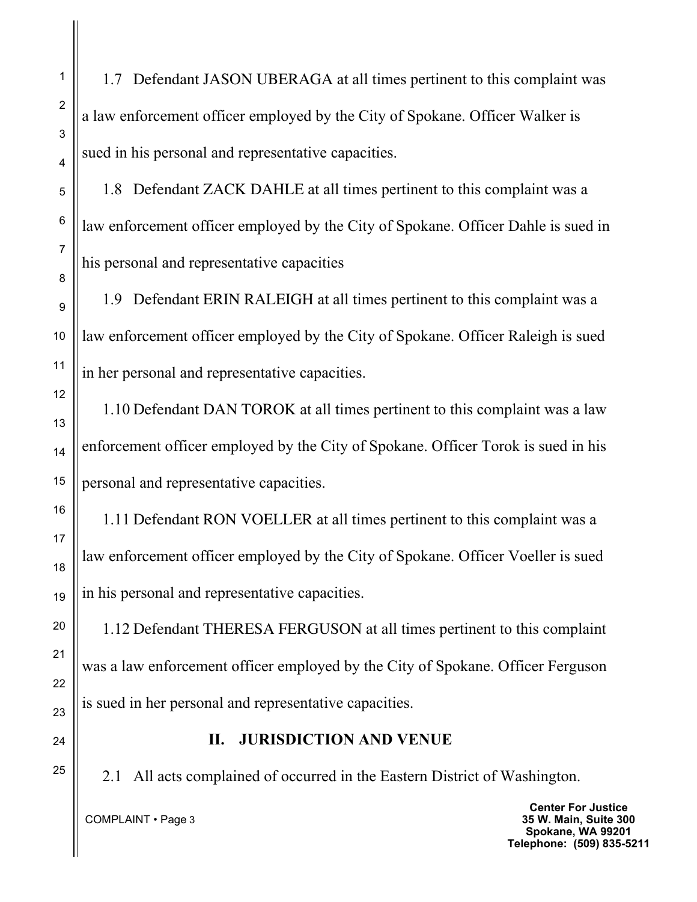1.7 Defendant JASON UBERAGA at all times pertinent to this complaint was a law enforcement officer employed by the City of Spokane. Officer Walker is sued in his personal and representative capacities.

1.8 Defendant ZACK DAHLE at all times pertinent to this complaint was a law enforcement officer employed by the City of Spokane. Officer Dahle is sued in his personal and representative capacities

1.9 Defendant ERIN RALEIGH at all times pertinent to this complaint was a law enforcement officer employed by the City of Spokane. Officer Raleigh is sued in her personal and representative capacities.

1.10 Defendant DAN TOROK at all times pertinent to this complaint was a law enforcement officer employed by the City of Spokane. Officer Torok is sued in his personal and representative capacities.

1.11 Defendant RON VOELLER at all times pertinent to this complaint was a law enforcement officer employed by the City of Spokane. Officer Voeller is sued in his personal and representative capacities.

1.12 Defendant THERESA FERGUSON at all times pertinent to this complaint was a law enforcement officer employed by the City of Spokane. Officer Ferguson is sued in her personal and representative capacities.

#### **II. JURISDICTION AND VENUE**

2.1 All acts complained of occurred in the Eastern District of Washington.

COMPLAINT • Page 3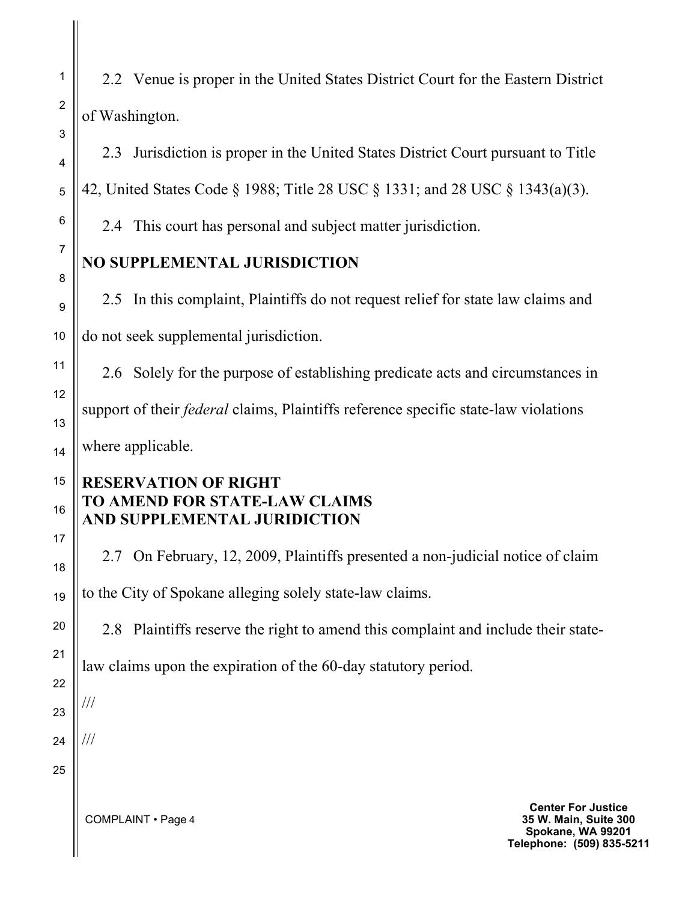2.2 Venue is proper in the United States District Court for the Eastern District of Washington.

2.3 Jurisdiction is proper in the United States District Court pursuant to Title 42, United States Code § 1988; Title 28 USC § 1331; and 28 USC § 1343(a)(3).

2.4 This court has personal and subject matter jurisdiction.

# **NO SUPPLEMENTAL JURISDICTION**

2.5 In this complaint, Plaintiffs do not request relief for state law claims and do not seek supplemental jurisdiction.

2.6 Solely for the purpose of establishing predicate acts and circumstances in support of their *federal* claims, Plaintiffs reference specific state-law violations where applicable.

## **RESERVATION OF RIGHT TO AMEND FOR STATE-LAW CLAIMS AND SUPPLEMENTAL JURIDICTION**

2.7 On February, 12, 2009, Plaintiffs presented a non-judicial notice of claim to the City of Spokane alleging solely state-law claims.

2.8 Plaintiffs reserve the right to amend this complaint and include their state-

law claims upon the expiration of the 60-day statutory period.

COMPLAINT • Page 4

///

///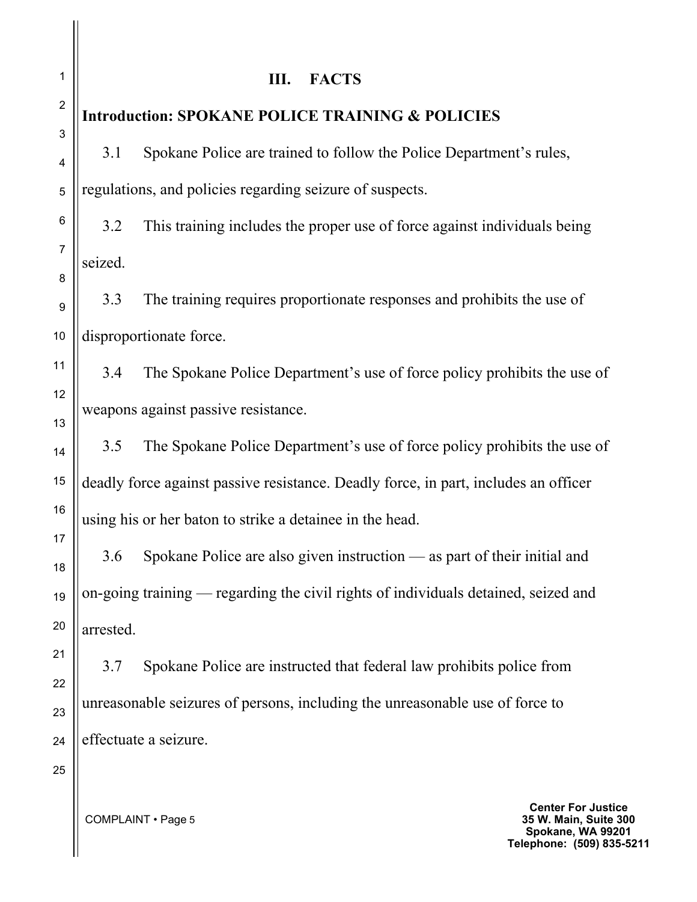**III. FACTS Introduction: SPOKANE POLICE TRAINING & POLICIES** 3.1 Spokane Police are trained to follow the Police Department's rules, regulations, and policies regarding seizure of suspects. 3.2 This training includes the proper use of force against individuals being seized. 3.3 The training requires proportionate responses and prohibits the use of disproportionate force. 3.4 The Spokane Police Department's use of force policy prohibits the use of weapons against passive resistance. 3.5 The Spokane Police Department's use of force policy prohibits the use of deadly force against passive resistance. Deadly force, in part, includes an officer using his or her baton to strike a detainee in the head. 3.6 Spokane Police are also given instruction — as part of their initial and on-going training — regarding the civil rights of individuals detained, seized and arrested. 3.7 Spokane Police are instructed that federal law prohibits police from unreasonable seizures of persons, including the unreasonable use of force to effectuate a seizure.

> **Center For Justice 35 W. Main, Suite 300 Spokane, WA 99201 Telephone: (509) 835-5211**

1

2

3

4

5

6

7

8

9

10

11

12

13

14

15

16

17

18

19

20

21

22

23

24

25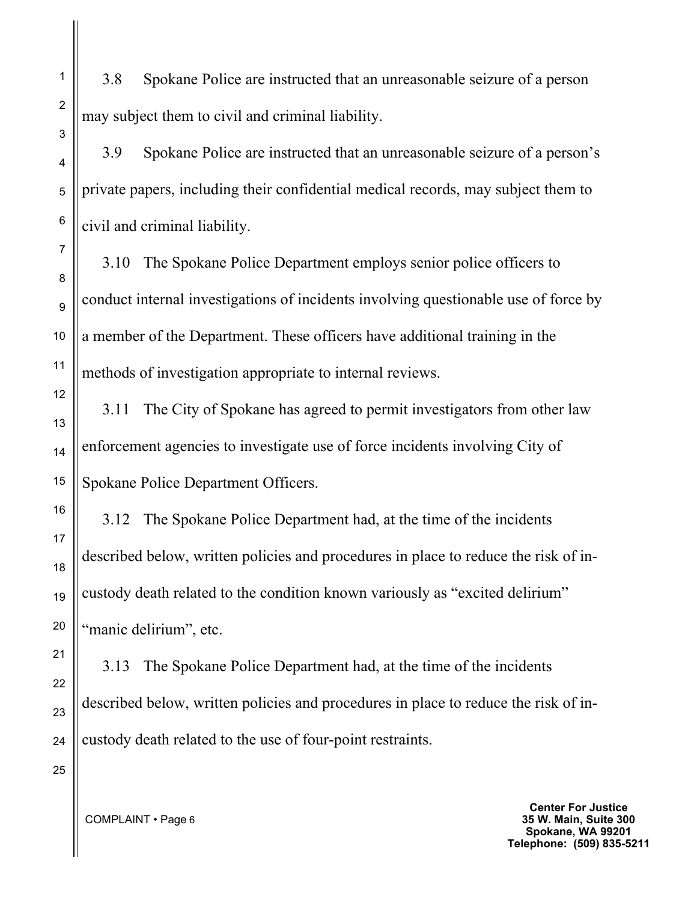3.8 Spokane Police are instructed that an unreasonable seizure of a person may subject them to civil and criminal liability.

3.9 Spokane Police are instructed that an unreasonable seizure of a person's private papers, including their confidential medical records, may subject them to civil and criminal liability.

3.10 The Spokane Police Department employs senior police officers to conduct internal investigations of incidents involving questionable use of force by a member of the Department. These officers have additional training in the methods of investigation appropriate to internal reviews.

3.11 The City of Spokane has agreed to permit investigators from other law enforcement agencies to investigate use of force incidents involving City of Spokane Police Department Officers.

3.12 The Spokane Police Department had, at the time of the incidents described below, written policies and procedures in place to reduce the risk of incustody death related to the condition known variously as "excited delirium" "manic delirium", etc.

3.13 The Spokane Police Department had, at the time of the incidents described below, written policies and procedures in place to reduce the risk of incustody death related to the use of four-point restraints.

> **Center For Justice 35 W. Main, Suite 300 Spokane, WA 99201 Telephone: (509) 835-5211**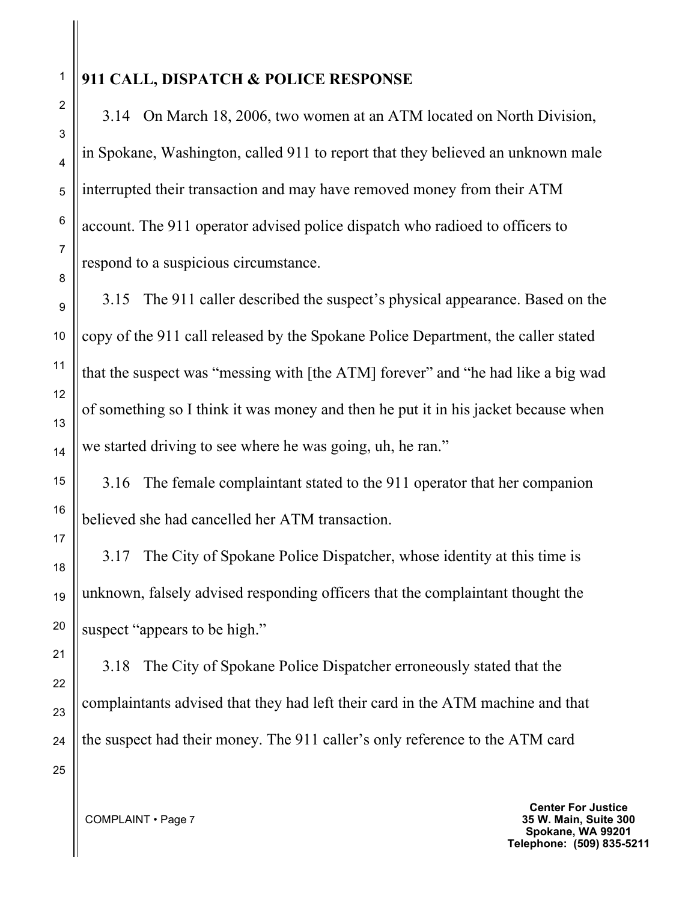# **911 CALL, DISPATCH & POLICE RESPONSE**

3.14 On March 18, 2006, two women at an ATM located on North Division, in Spokane, Washington, called 911 to report that they believed an unknown male interrupted their transaction and may have removed money from their ATM account. The 911 operator advised police dispatch who radioed to officers to respond to a suspicious circumstance.

3.15 The 911 caller described the suspect's physical appearance. Based on the copy of the 911 call released by the Spokane Police Department, the caller stated that the suspect was "messing with [the ATM] forever" and "he had like a big wad of something so I think it was money and then he put it in his jacket because when we started driving to see where he was going, uh, he ran."

3.16 The female complaintant stated to the 911 operator that her companion believed she had cancelled her ATM transaction.

3.17 The City of Spokane Police Dispatcher, whose identity at this time is unknown, falsely advised responding officers that the complaintant thought the suspect "appears to be high."

3.18 The City of Spokane Police Dispatcher erroneously stated that the complaintants advised that they had left their card in the ATM machine and that the suspect had their money. The 911 caller's only reference to the ATM card

> **Center For Justice 35 W. Main, Suite 300 Spokane, WA 99201 Telephone: (509) 835-5211**

1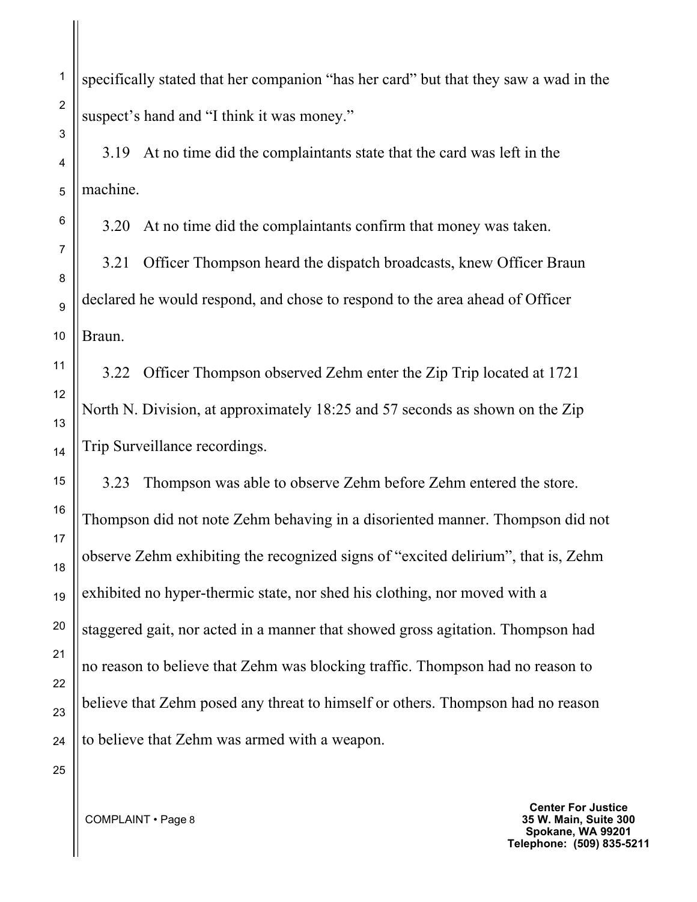specifically stated that her companion "has her card" but that they saw a wad in the suspect's hand and "I think it was money."

3.19 At no time did the complaintants state that the card was left in the machine.

3.20 At no time did the complaintants confirm that money was taken.

3.21 Officer Thompson heard the dispatch broadcasts, knew Officer Braun declared he would respond, and chose to respond to the area ahead of Officer Braun.

3.22 Officer Thompson observed Zehm enter the Zip Trip located at 1721 North N. Division, at approximately 18:25 and 57 seconds as shown on the Zip Trip Surveillance recordings.

3.23 Thompson was able to observe Zehm before Zehm entered the store. Thompson did not note Zehm behaving in a disoriented manner. Thompson did not observe Zehm exhibiting the recognized signs of "excited delirium", that is, Zehm exhibited no hyper-thermic state, nor shed his clothing, nor moved with a staggered gait, nor acted in a manner that showed gross agitation. Thompson had no reason to believe that Zehm was blocking traffic. Thompson had no reason to believe that Zehm posed any threat to himself or others. Thompson had no reason to believe that Zehm was armed with a weapon.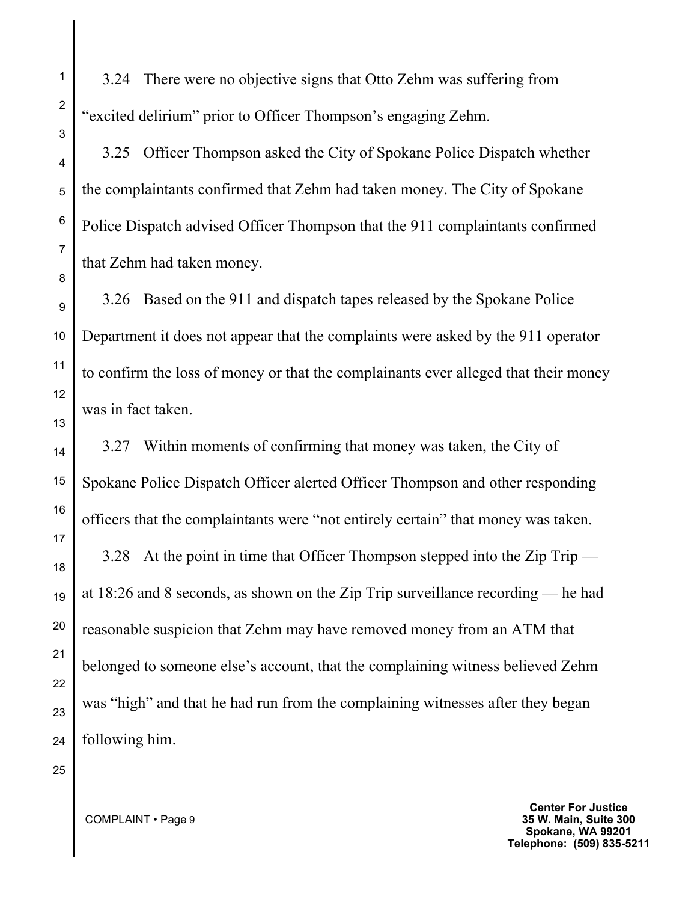3.24 There were no objective signs that Otto Zehm was suffering from "excited delirium" prior to Officer Thompson's engaging Zehm.

3.25 Officer Thompson asked the City of Spokane Police Dispatch whether the complaintants confirmed that Zehm had taken money. The City of Spokane Police Dispatch advised Officer Thompson that the 911 complaintants confirmed that Zehm had taken money.

3.26 Based on the 911 and dispatch tapes released by the Spokane Police Department it does not appear that the complaints were asked by the 911 operator to confirm the loss of money or that the complainants ever alleged that their money was in fact taken.

3.27 Within moments of confirming that money was taken, the City of Spokane Police Dispatch Officer alerted Officer Thompson and other responding officers that the complaintants were "not entirely certain" that money was taken. 3.28 At the point in time that Officer Thompson stepped into the Zip Trip at 18:26 and 8 seconds, as shown on the Zip Trip surveillance recording — he had reasonable suspicion that Zehm may have removed money from an ATM that belonged to someone else's account, that the complaining witness believed Zehm was "high" and that he had run from the complaining witnesses after they began following him.

COMPLAINT • Page 9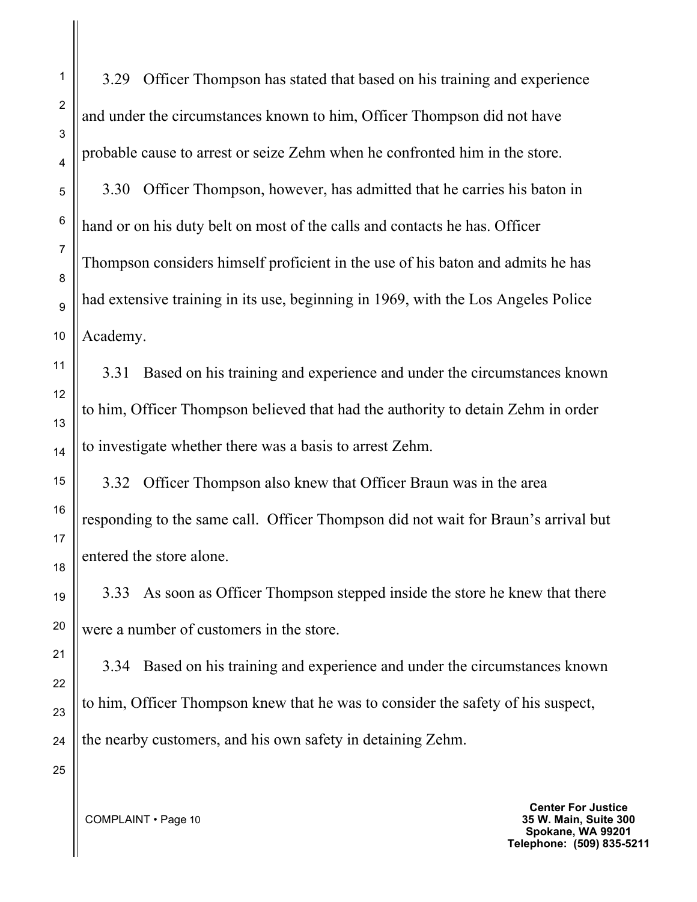3.29 Officer Thompson has stated that based on his training and experience and under the circumstances known to him, Officer Thompson did not have probable cause to arrest or seize Zehm when he confronted him in the store.

3.30 Officer Thompson, however, has admitted that he carries his baton in hand or on his duty belt on most of the calls and contacts he has. Officer Thompson considers himself proficient in the use of his baton and admits he has had extensive training in its use, beginning in 1969, with the Los Angeles Police Academy.

3.31 Based on his training and experience and under the circumstances known to him, Officer Thompson believed that had the authority to detain Zehm in order to investigate whether there was a basis to arrest Zehm.

3.32 Officer Thompson also knew that Officer Braun was in the area responding to the same call. Officer Thompson did not wait for Braun's arrival but entered the store alone.

3.33 As soon as Officer Thompson stepped inside the store he knew that there were a number of customers in the store.

3.34 Based on his training and experience and under the circumstances known to him, Officer Thompson knew that he was to consider the safety of his suspect, the nearby customers, and his own safety in detaining Zehm.

COMPLAINT • Page 10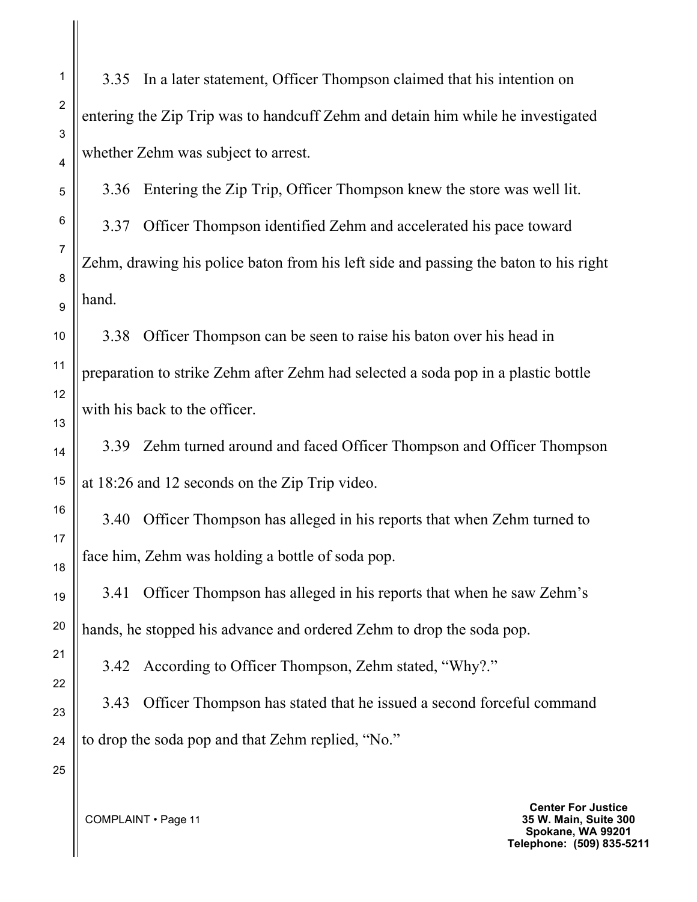3.35 In a later statement, Officer Thompson claimed that his intention on entering the Zip Trip was to handcuff Zehm and detain him while he investigated whether Zehm was subject to arrest.

3.36 Entering the Zip Trip, Officer Thompson knew the store was well lit. 3.37 Officer Thompson identified Zehm and accelerated his pace toward Zehm, drawing his police baton from his left side and passing the baton to his right hand.

3.38 Officer Thompson can be seen to raise his baton over his head in preparation to strike Zehm after Zehm had selected a soda pop in a plastic bottle with his back to the officer.

3.39 Zehm turned around and faced Officer Thompson and Officer Thompson at 18:26 and 12 seconds on the Zip Trip video.

3.40 Officer Thompson has alleged in his reports that when Zehm turned to face him, Zehm was holding a bottle of soda pop.

3.41 Officer Thompson has alleged in his reports that when he saw Zehm's hands, he stopped his advance and ordered Zehm to drop the soda pop.

3.42 According to Officer Thompson, Zehm stated, "Why?."

3.43 Officer Thompson has stated that he issued a second forceful command to drop the soda pop and that Zehm replied, "No."

COMPLAINT • Page 11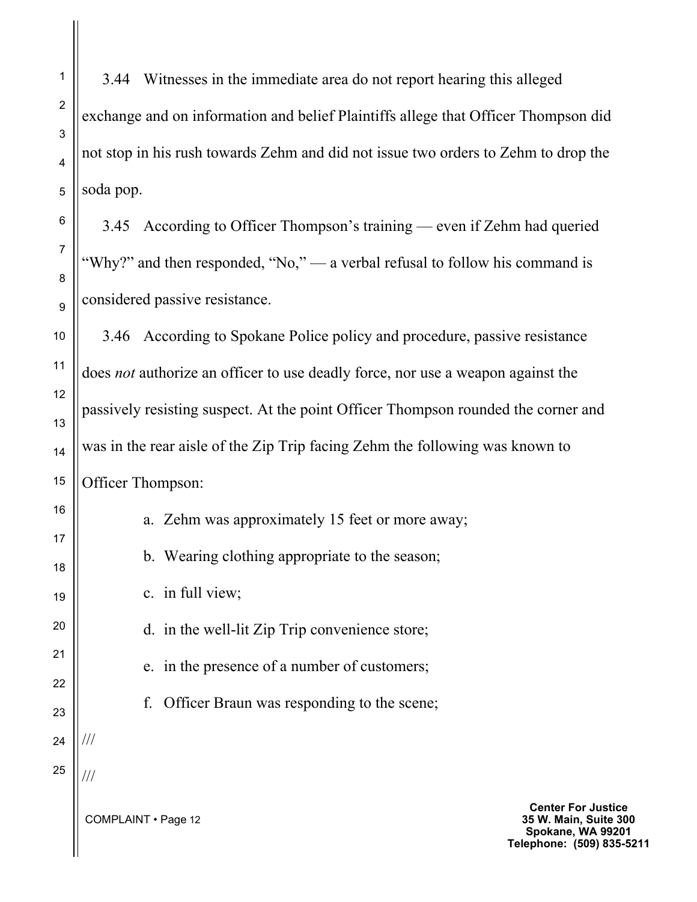3.44 Witnesses in the immediate area do not report hearing this alleged exchange and on information and belief Plaintiffs allege that Officer Thompson did not stop in his rush towards Zehm and did not issue two orders to Zehm to drop the soda pop.

3.45 According to Officer Thompson's training — even if Zehm had queried "Why?" and then responded, "No," — a verbal refusal to follow his command is considered passive resistance.

3.46 According to Spokane Police policy and procedure, passive resistance does *not* authorize an officer to use deadly force, nor use a weapon against the passively resisting suspect. At the point Officer Thompson rounded the corner and was in the rear aisle of the Zip Trip facing Zehm the following was known to Officer Thompson:

a. Zehm was approximately 15 feet or more away; b. Wearing clothing appropriate to the season;

c. in full view;

d. in the well-lit Zip Trip convenience store;

e. in the presence of a number of customers;

f. Officer Braun was responding to the scene;

///

///

COMPLAINT • Page 12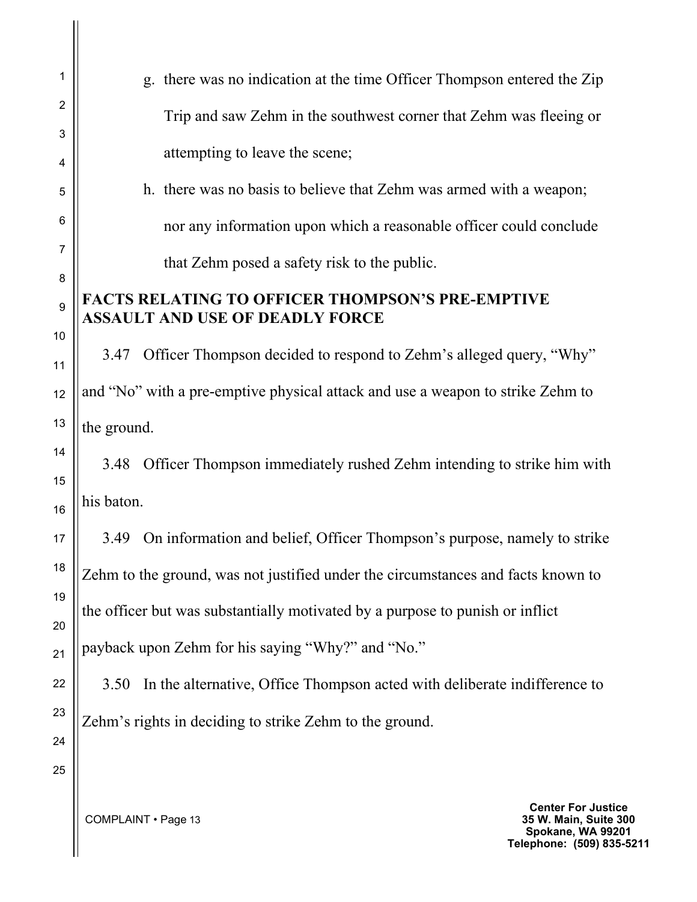| 1        | g. there was no indication at the time Officer Thompson entered the Zip           |  |
|----------|-----------------------------------------------------------------------------------|--|
| 2        | Trip and saw Zehm in the southwest corner that Zehm was fleeing or                |  |
| 3<br>4   | attempting to leave the scene;                                                    |  |
| 5        | h. there was no basis to believe that Zehm was armed with a weapon;               |  |
| 6        | nor any information upon which a reasonable officer could conclude                |  |
| 7        | that Zehm posed a safety risk to the public.                                      |  |
| 8        | <b>FACTS RELATING TO OFFICER THOMPSON'S PRE-EMPTIVE</b>                           |  |
| 9        | <b>ASSAULT AND USE OF DEADLY FORCE</b>                                            |  |
| 10<br>11 | Officer Thompson decided to respond to Zehm's alleged query, "Why"<br>3.47        |  |
| 12       | and "No" with a pre-emptive physical attack and use a weapon to strike Zehm to    |  |
| 13       | the ground.                                                                       |  |
| 14<br>15 | Officer Thompson immediately rushed Zehm intending to strike him with<br>3.48     |  |
| 16       | his baton.                                                                        |  |
| 17       | 3.49 On information and belief, Officer Thompson's purpose, namely to strike      |  |
| 18       | Zehm to the ground, was not justified under the circumstances and facts known to  |  |
| 19       | the officer but was substantially motivated by a purpose to punish or inflict     |  |
| 20<br>21 | payback upon Zehm for his saying "Why?" and "No."                                 |  |
| 22       | In the alternative, Office Thompson acted with deliberate indifference to<br>3.50 |  |
| 23       |                                                                                   |  |
| 24       | Zehm's rights in deciding to strike Zehm to the ground.                           |  |
|          |                                                                                   |  |
| 25       |                                                                                   |  |

**Center For Justice 35 W. Main, Suite 300 Spokane, WA 99201 Telephone: (509) 835-5211**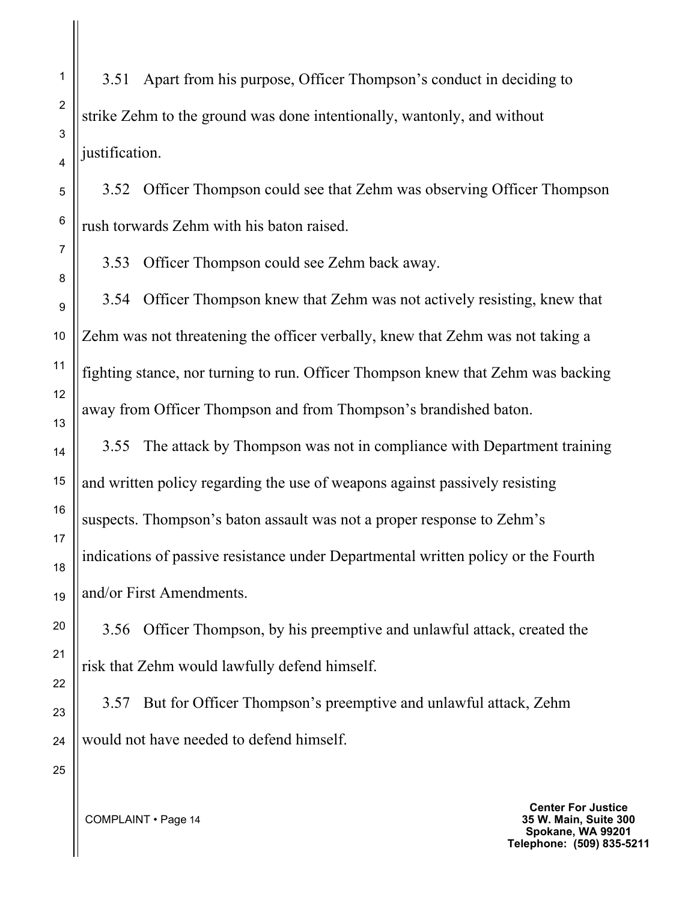3.51 Apart from his purpose, Officer Thompson's conduct in deciding to strike Zehm to the ground was done intentionally, wantonly, and without justification.

3.52 Officer Thompson could see that Zehm was observing Officer Thompson rush torwards Zehm with his baton raised.

3.53 Officer Thompson could see Zehm back away.

3.54 Officer Thompson knew that Zehm was not actively resisting, knew that Zehm was not threatening the officer verbally, knew that Zehm was not taking a fighting stance, nor turning to run. Officer Thompson knew that Zehm was backing away from Officer Thompson and from Thompson's brandished baton.

3.55 The attack by Thompson was not in compliance with Department training and written policy regarding the use of weapons against passively resisting suspects. Thompson's baton assault was not a proper response to Zehm's indications of passive resistance under Departmental written policy or the Fourth and/or First Amendments.

3.56 Officer Thompson, by his preemptive and unlawful attack, created the risk that Zehm would lawfully defend himself.

3.57 But for Officer Thompson's preemptive and unlawful attack, Zehm would not have needed to defend himself.

> **Center For Justice 35 W. Main, Suite 300 Spokane, WA 99201 Telephone: (509) 835-5211**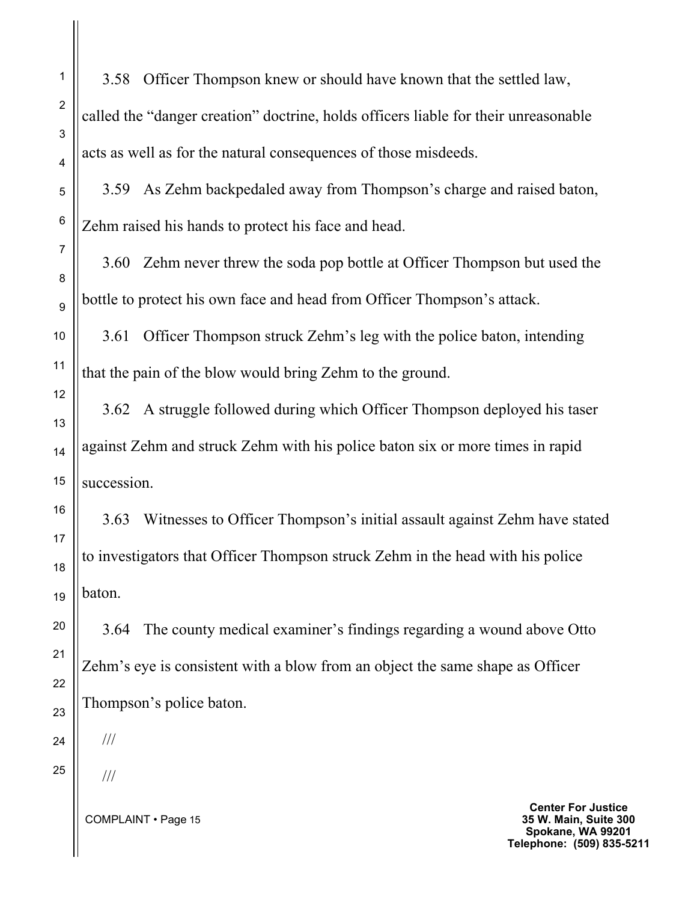3.58 Officer Thompson knew or should have known that the settled law, called the "danger creation" doctrine, holds officers liable for their unreasonable acts as well as for the natural consequences of those misdeeds.

3.59 As Zehm backpedaled away from Thompson's charge and raised baton, Zehm raised his hands to protect his face and head.

3.60 Zehm never threw the soda pop bottle at Officer Thompson but used the bottle to protect his own face and head from Officer Thompson's attack.

3.61 Officer Thompson struck Zehm's leg with the police baton, intending that the pain of the blow would bring Zehm to the ground.

3.62 A struggle followed during which Officer Thompson deployed his taser against Zehm and struck Zehm with his police baton six or more times in rapid succession.

3.63 Witnesses to Officer Thompson's initial assault against Zehm have stated to investigators that Officer Thompson struck Zehm in the head with his police baton.

3.64 The county medical examiner's findings regarding a wound above Otto Zehm's eye is consistent with a blow from an object the same shape as Officer Thompson's police baton.

///

///

COMPLAINT • Page 15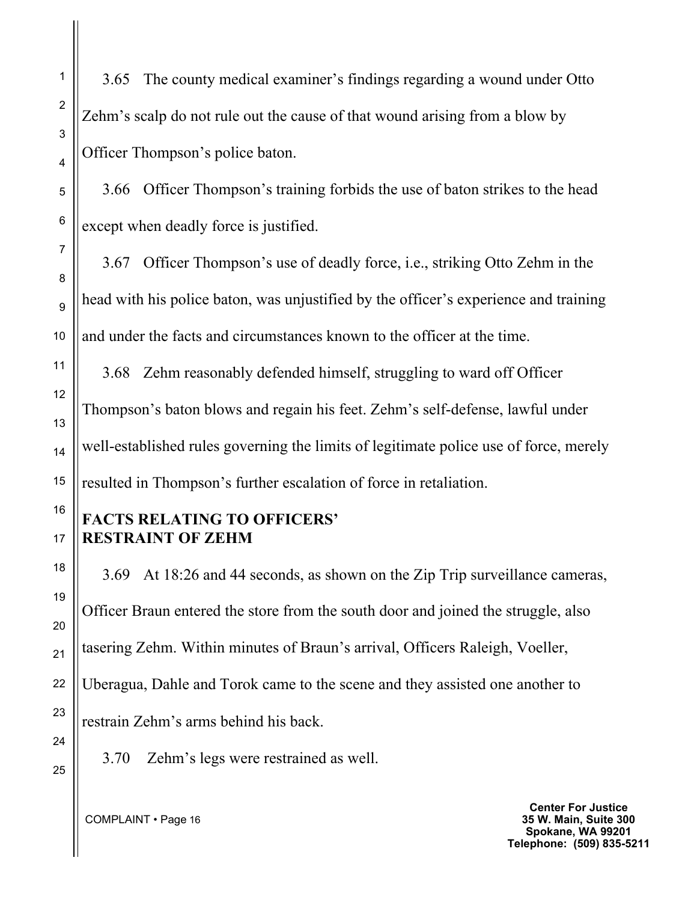3.65 The county medical examiner's findings regarding a wound under Otto Zehm's scalp do not rule out the cause of that wound arising from a blow by Officer Thompson's police baton.

3.66 Officer Thompson's training forbids the use of baton strikes to the head except when deadly force is justified.

3.67 Officer Thompson's use of deadly force, i.e., striking Otto Zehm in the head with his police baton, was unjustified by the officer's experience and training and under the facts and circumstances known to the officer at the time.

3.68 Zehm reasonably defended himself, struggling to ward off Officer Thompson's baton blows and regain his feet. Zehm's self-defense, lawful under well-established rules governing the limits of legitimate police use of force, merely resulted in Thompson's further escalation of force in retaliation.

## **FACTS RELATING TO OFFICERS' RESTRAINT OF ZEHM**

3.69 At 18:26 and 44 seconds, as shown on the Zip Trip surveillance cameras, Officer Braun entered the store from the south door and joined the struggle, also tasering Zehm. Within minutes of Braun's arrival, Officers Raleigh, Voeller, Uberagua, Dahle and Torok came to the scene and they assisted one another to restrain Zehm's arms behind his back.

3.70 Zehm's legs were restrained as well.

**Center For Justice 35 W. Main, Suite 300 Spokane, WA 99201 Telephone: (509) 835-5211**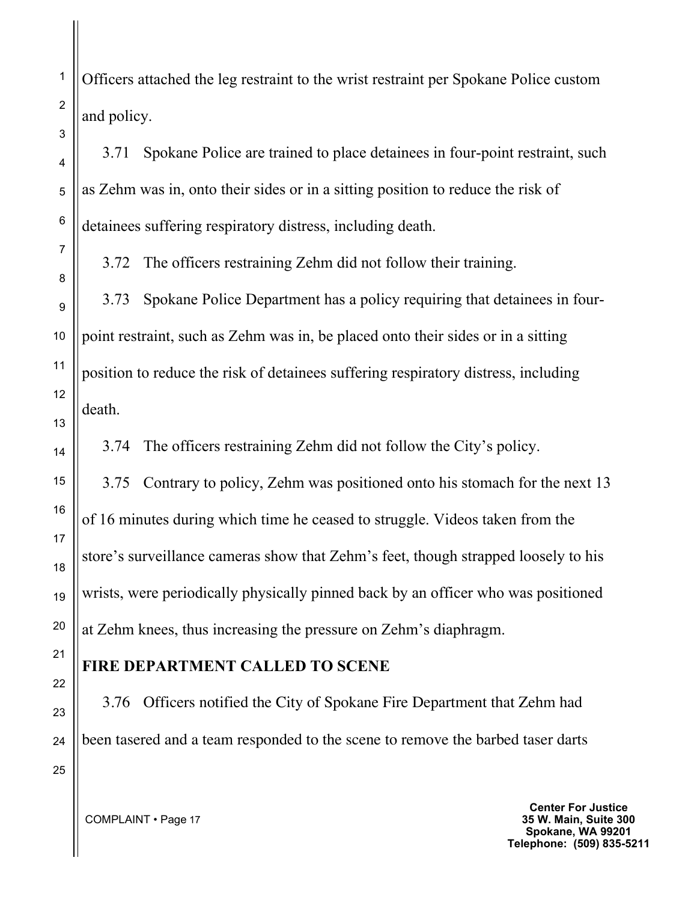Officers attached the leg restraint to the wrist restraint per Spokane Police custom and policy.

3.71 Spokane Police are trained to place detainees in four-point restraint, such as Zehm was in, onto their sides or in a sitting position to reduce the risk of detainees suffering respiratory distress, including death.

3.72 The officers restraining Zehm did not follow their training.

3.73 Spokane Police Department has a policy requiring that detainees in fourpoint restraint, such as Zehm was in, be placed onto their sides or in a sitting position to reduce the risk of detainees suffering respiratory distress, including death.

3.74 The officers restraining Zehm did not follow the City's policy.

3.75 Contrary to policy, Zehm was positioned onto his stomach for the next 13 of 16 minutes during which time he ceased to struggle. Videos taken from the store's surveillance cameras show that Zehm's feet, though strapped loosely to his wrists, were periodically physically pinned back by an officer who was positioned at Zehm knees, thus increasing the pressure on Zehm's diaphragm.

#### **FIRE DEPARTMENT CALLED TO SCENE**

3.76 Officers notified the City of Spokane Fire Department that Zehm had been tasered and a team responded to the scene to remove the barbed taser darts

COMPLAINT • Page 17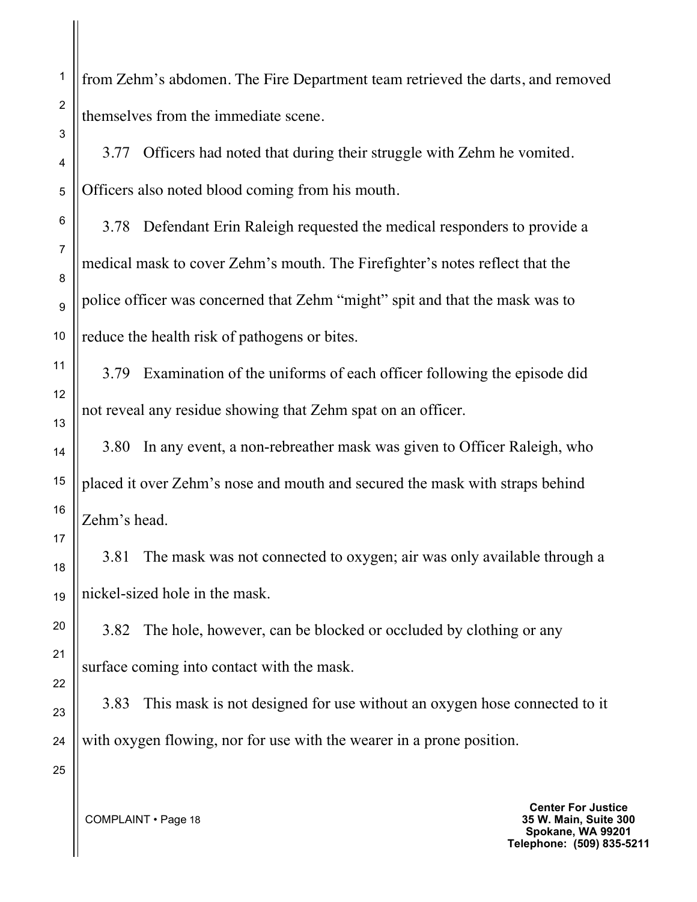from Zehm's abdomen. The Fire Department team retrieved the darts, and removed themselves from the immediate scene.

3.77 Officers had noted that during their struggle with Zehm he vomited. Officers also noted blood coming from his mouth.

3.78 Defendant Erin Raleigh requested the medical responders to provide a medical mask to cover Zehm's mouth. The Firefighter's notes reflect that the police officer was concerned that Zehm "might" spit and that the mask was to reduce the health risk of pathogens or bites.

3.79 Examination of the uniforms of each officer following the episode did not reveal any residue showing that Zehm spat on an officer.

3.80 In any event, a non-rebreather mask was given to Officer Raleigh, who placed it over Zehm's nose and mouth and secured the mask with straps behind Zehm's head.

3.81 The mask was not connected to oxygen; air was only available through a nickel-sized hole in the mask.

3.82 The hole, however, can be blocked or occluded by clothing or any surface coming into contact with the mask.

3.83 This mask is not designed for use without an oxygen hose connected to it with oxygen flowing, nor for use with the wearer in a prone position.

1

2

3

4

5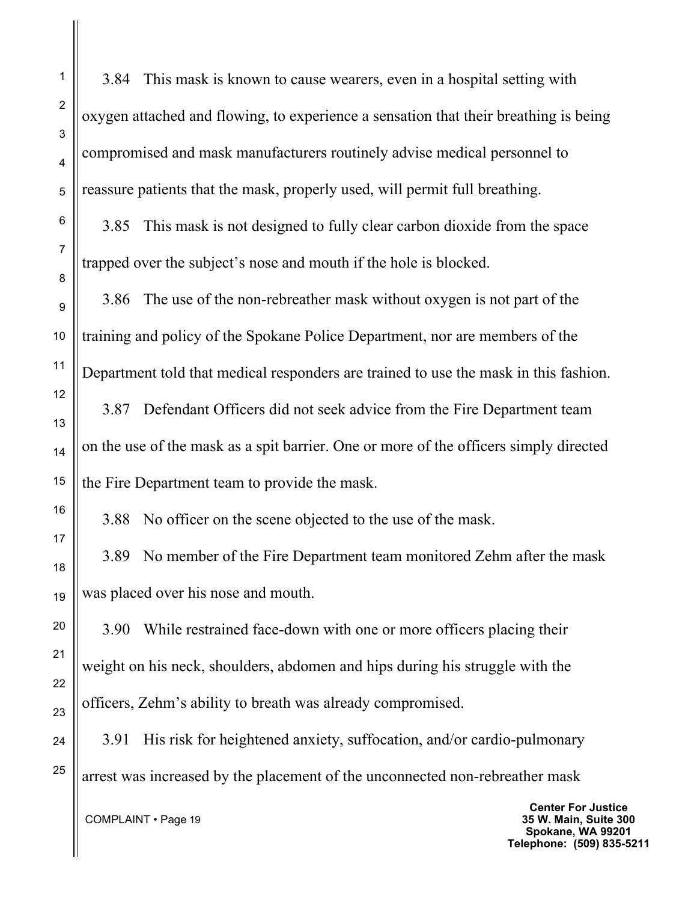3.84 This mask is known to cause wearers, even in a hospital setting with oxygen attached and flowing, to experience a sensation that their breathing is being compromised and mask manufacturers routinely advise medical personnel to reassure patients that the mask, properly used, will permit full breathing.

3.85 This mask is not designed to fully clear carbon dioxide from the space trapped over the subject's nose and mouth if the hole is blocked.

3.86 The use of the non-rebreather mask without oxygen is not part of the training and policy of the Spokane Police Department, nor are members of the Department told that medical responders are trained to use the mask in this fashion.

3.87 Defendant Officers did not seek advice from the Fire Department team on the use of the mask as a spit barrier. One or more of the officers simply directed the Fire Department team to provide the mask.

3.88 No officer on the scene objected to the use of the mask.

3.89 No member of the Fire Department team monitored Zehm after the mask was placed over his nose and mouth.

3.90 While restrained face-down with one or more officers placing their weight on his neck, shoulders, abdomen and hips during his struggle with the officers, Zehm's ability to breath was already compromised.

3.91 His risk for heightened anxiety, suffocation, and/or cardio-pulmonary arrest was increased by the placement of the unconnected non-rebreather mask

COMPLAINT • Page 19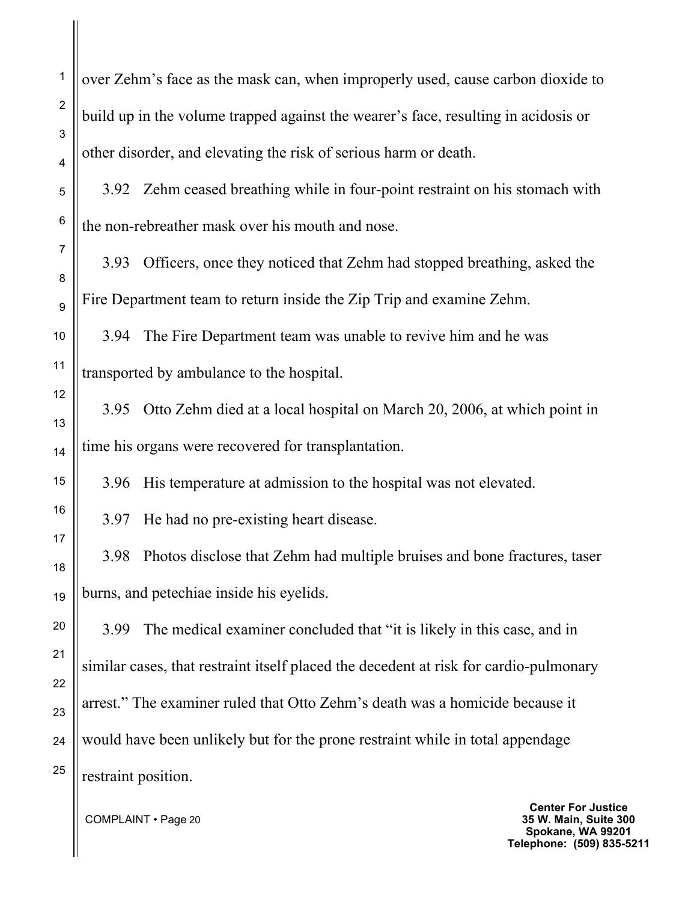over Zehm's face as the mask can, when improperly used, cause carbon dioxide to build up in the volume trapped against the wearer's face, resulting in acidosis or other disorder, and elevating the risk of serious harm or death.

3.92 Zehm ceased breathing while in four-point restraint on his stomach with the non-rebreather mask over his mouth and nose.

3.93 Officers, once they noticed that Zehm had stopped breathing, asked the Fire Department team to return inside the Zip Trip and examine Zehm.

3.94 The Fire Department team was unable to revive him and he was transported by ambulance to the hospital.

3.95 Otto Zehm died at a local hospital on March 20, 2006, at which point in time his organs were recovered for transplantation.

3.96 His temperature at admission to the hospital was not elevated.

3.97 He had no pre-existing heart disease.

3.98 Photos disclose that Zehm had multiple bruises and bone fractures, taser burns, and petechiae inside his eyelids.

3.99 The medical examiner concluded that "it is likely in this case, and in similar cases, that restraint itself placed the decedent at risk for cardio-pulmonary arrest." The examiner ruled that Otto Zehm's death was a homicide because it would have been unlikely but for the prone restraint while in total appendage restraint position.

COMPLAINT • Page 20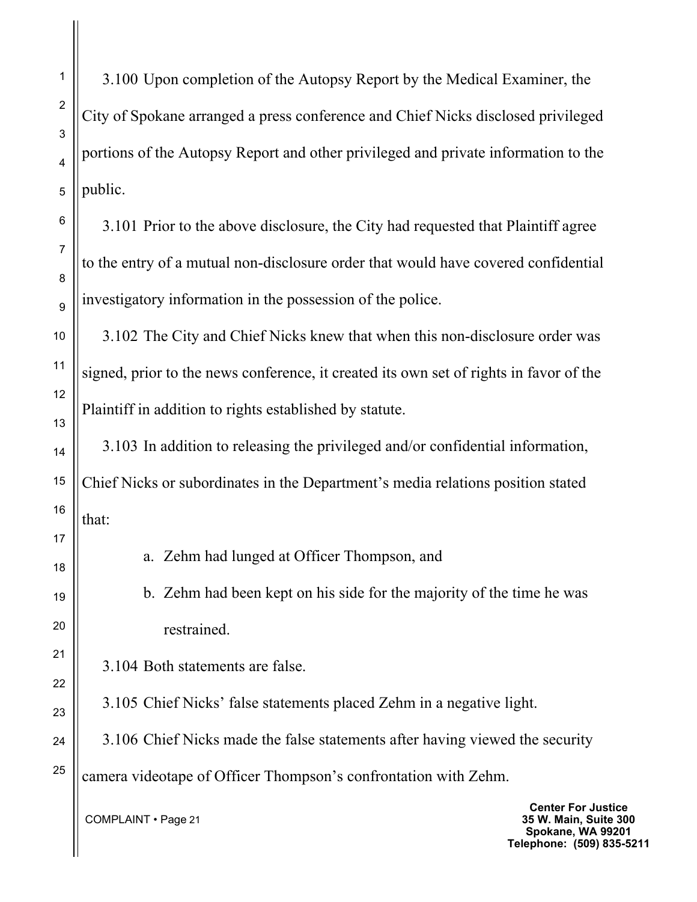3.100 Upon completion of the Autopsy Report by the Medical Examiner, the City of Spokane arranged a press conference and Chief Nicks disclosed privileged portions of the Autopsy Report and other privileged and private information to the public.

3.101 Prior to the above disclosure, the City had requested that Plaintiff agree to the entry of a mutual non-disclosure order that would have covered confidential investigatory information in the possession of the police.

3.102 The City and Chief Nicks knew that when this non-disclosure order was signed, prior to the news conference, it created its own set of rights in favor of the Plaintiff in addition to rights established by statute.

3.103 In addition to releasing the privileged and/or confidential information, Chief Nicks or subordinates in the Department's media relations position stated that:

a. Zehm had lunged at Officer Thompson, and

b. Zehm had been kept on his side for the majority of the time he was restrained.

3.104 Both statements are false.

3.105 Chief Nicks' false statements placed Zehm in a negative light.

3.106 Chief Nicks made the false statements after having viewed the security

camera videotape of Officer Thompson's confrontation with Zehm.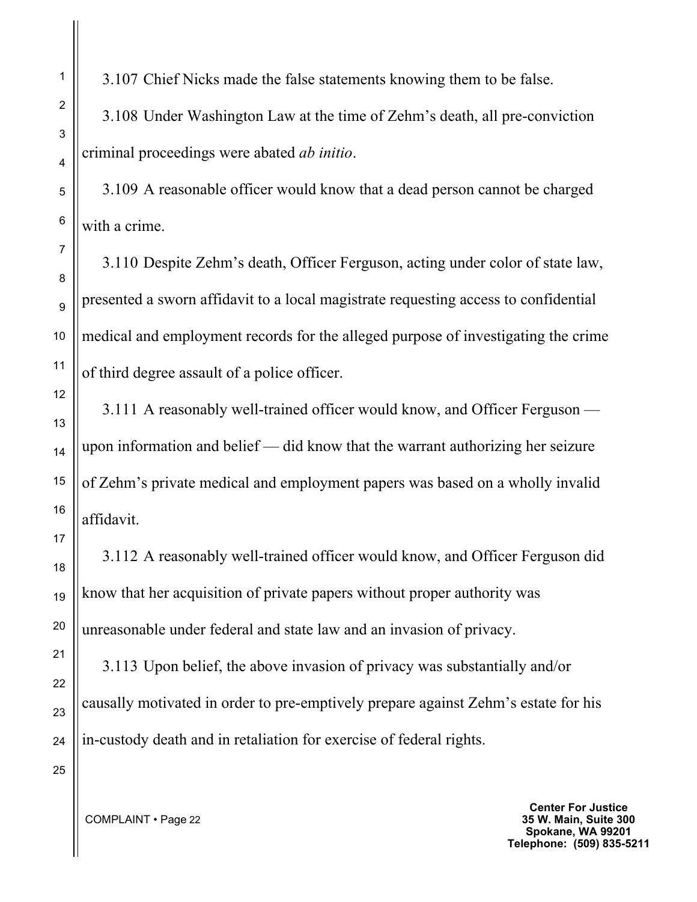3.107 Chief Nicks made the false statements knowing them to be false.

3.108 Under Washington Law at the time of Zehm's death, all pre-conviction criminal proceedings were abated *ab initio*.

3.109 A reasonable officer would know that a dead person cannot be charged with a crime.

3.110 Despite Zehm's death, Officer Ferguson, acting under color of state law, presented a sworn affidavit to a local magistrate requesting access to confidential medical and employment records for the alleged purpose of investigating the crime of third degree assault of a police officer.

3.111 A reasonably well-trained officer would know, and Officer Ferguson upon information and belief — did know that the warrant authorizing her seizure of Zehm's private medical and employment papers was based on a wholly invalid affidavit.

3.112 A reasonably well-trained officer would know, and Officer Ferguson did know that her acquisition of private papers without proper authority was unreasonable under federal and state law and an invasion of privacy.

3.113 Upon belief, the above invasion of privacy was substantially and/or causally motivated in order to pre-emptively prepare against Zehm's estate for his in-custody death and in retaliation for exercise of federal rights.

COMPLAINT • Page 22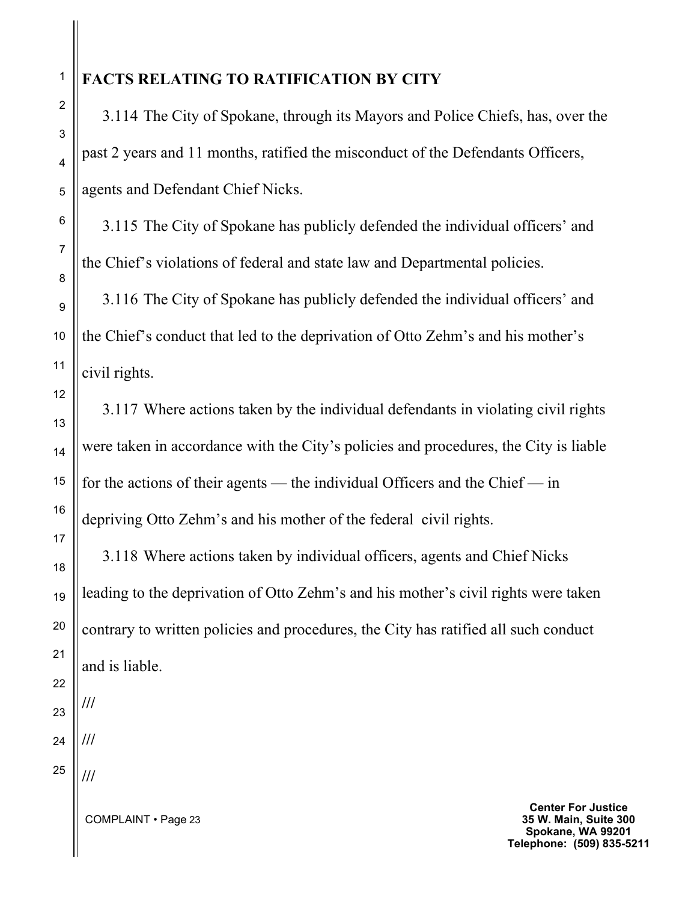## **FACTS RELATING TO RATIFICATION BY CITY**

3.114 The City of Spokane, through its Mayors and Police Chiefs, has, over the past 2 years and 11 months, ratified the misconduct of the Defendants Officers, agents and Defendant Chief Nicks.

3.115 The City of Spokane has publicly defended the individual officers' and the Chief's violations of federal and state law and Departmental policies.

3.116 The City of Spokane has publicly defended the individual officers' and the Chief's conduct that led to the deprivation of Otto Zehm's and his mother's civil rights.

3.117 Where actions taken by the individual defendants in violating civil rights were taken in accordance with the City's policies and procedures, the City is liable for the actions of their agents — the individual Officers and the Chief — in depriving Otto Zehm's and his mother of the federal civil rights.

3.118 Where actions taken by individual officers, agents and Chief Nicks leading to the deprivation of Otto Zehm's and his mother's civil rights were taken contrary to written policies and procedures, the City has ratified all such conduct and is liable.

**///**

**///**

**///**

COMPLAINT • Page 23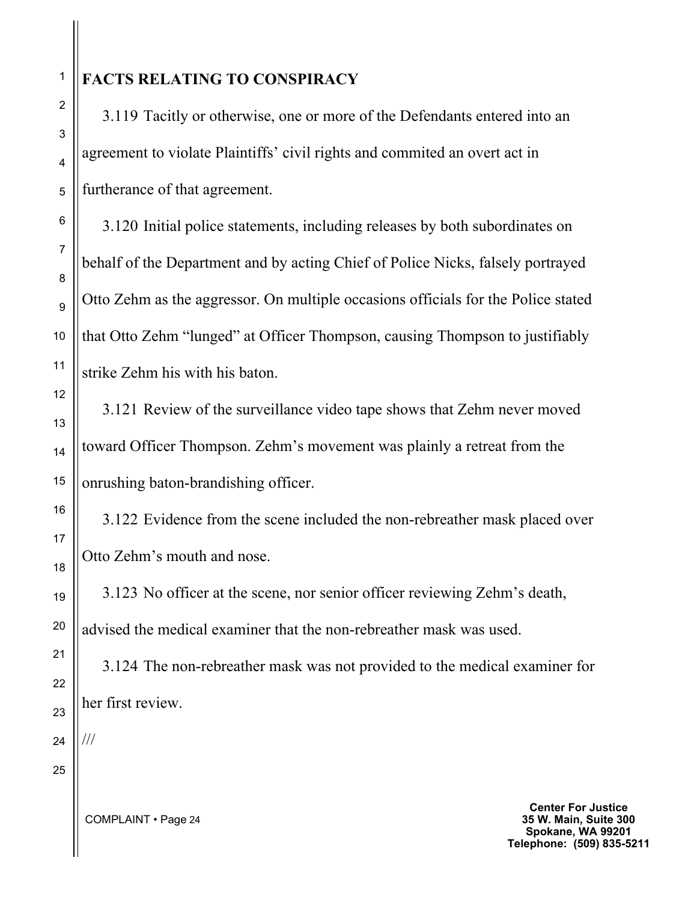# **FACTS RELATING TO CONSPIRACY**

3.119 Tacitly or otherwise, one or more of the Defendants entered into an agreement to violate Plaintiffs' civil rights and commited an overt act in furtherance of that agreement.

3.120 Initial police statements, including releases by both subordinates on behalf of the Department and by acting Chief of Police Nicks, falsely portrayed Otto Zehm as the aggressor. On multiple occasions officials for the Police stated that Otto Zehm "lunged" at Officer Thompson, causing Thompson to justifiably strike Zehm his with his baton.

3.121 Review of the surveillance video tape shows that Zehm never moved toward Officer Thompson. Zehm's movement was plainly a retreat from the onrushing baton-brandishing officer.

3.122 Evidence from the scene included the non-rebreather mask placed over Otto Zehm's mouth and nose.

3.123 No officer at the scene, nor senior officer reviewing Zehm's death, advised the medical examiner that the non-rebreather mask was used.

3.124 The non-rebreather mask was not provided to the medical examiner for her first review.

///

**Center For Justice 35 W. Main, Suite 300 Spokane, WA 99201 Telephone: (509) 835-5211**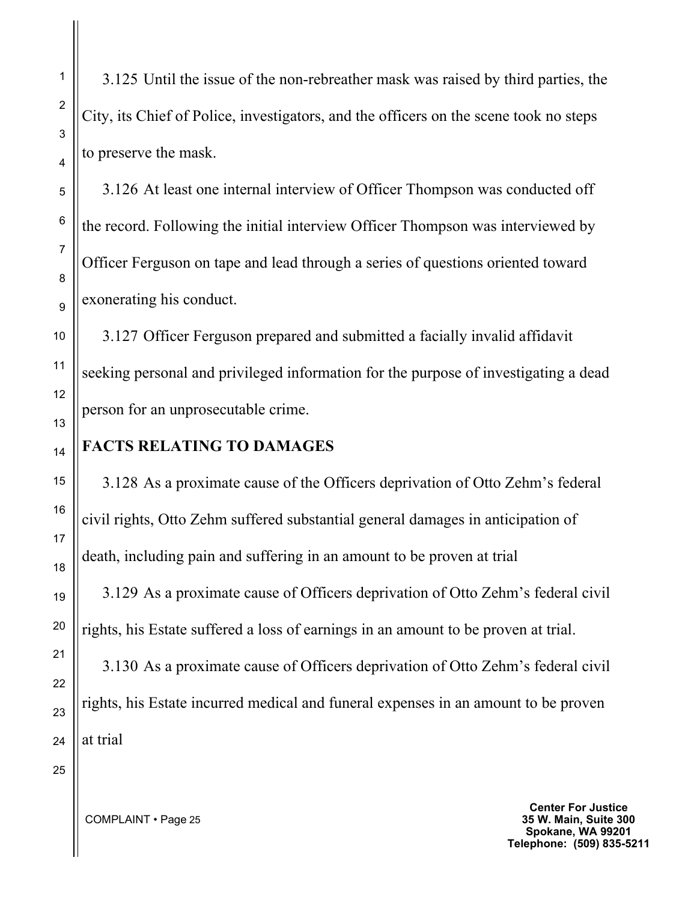3.125 Until the issue of the non-rebreather mask was raised by third parties, the City, its Chief of Police, investigators, and the officers on the scene took no steps to preserve the mask.

3.126 At least one internal interview of Officer Thompson was conducted off the record. Following the initial interview Officer Thompson was interviewed by Officer Ferguson on tape and lead through a series of questions oriented toward exonerating his conduct.

3.127 Officer Ferguson prepared and submitted a facially invalid affidavit seeking personal and privileged information for the purpose of investigating a dead person for an unprosecutable crime.

#### **FACTS RELATING TO DAMAGES**

3.128 As a proximate cause of the Officers deprivation of Otto Zehm's federal civil rights, Otto Zehm suffered substantial general damages in anticipation of death, including pain and suffering in an amount to be proven at trial

3.129 As a proximate cause of Officers deprivation of Otto Zehm's federal civil rights, his Estate suffered a loss of earnings in an amount to be proven at trial.

3.130 As a proximate cause of Officers deprivation of Otto Zehm's federal civil rights, his Estate incurred medical and funeral expenses in an amount to be proven at trial

25

**Center For Justice 35 W. Main, Suite 300 Spokane, WA 99201 Telephone: (509) 835-5211**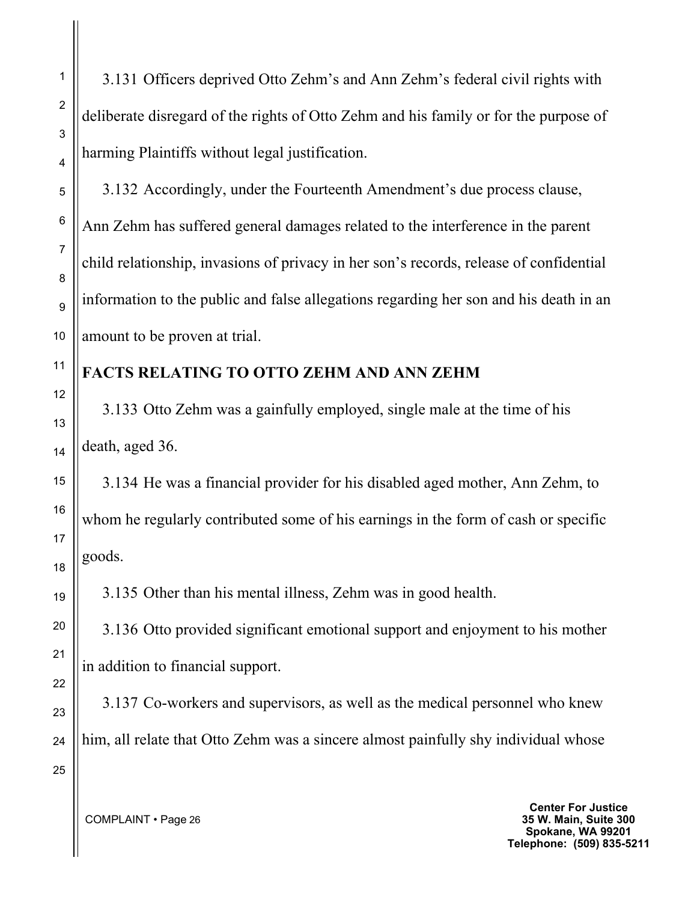3.131 Officers deprived Otto Zehm's and Ann Zehm's federal civil rights with deliberate disregard of the rights of Otto Zehm and his family or for the purpose of harming Plaintiffs without legal justification.

3.132 Accordingly, under the Fourteenth Amendment's due process clause, Ann Zehm has suffered general damages related to the interference in the parent child relationship, invasions of privacy in her son's records, release of confidential information to the public and false allegations regarding her son and his death in an amount to be proven at trial.

## **FACTS RELATING TO OTTO ZEHM AND ANN ZEHM**

3.133 Otto Zehm was a gainfully employed, single male at the time of his death, aged 36.

3.134 He was a financial provider for his disabled aged mother, Ann Zehm, to whom he regularly contributed some of his earnings in the form of cash or specific goods.

3.135 Other than his mental illness, Zehm was in good health.

3.136 Otto provided significant emotional support and enjoyment to his mother in addition to financial support.

3.137 Co-workers and supervisors, as well as the medical personnel who knew him, all relate that Otto Zehm was a sincere almost painfully shy individual whose

COMPLAINT • Page 26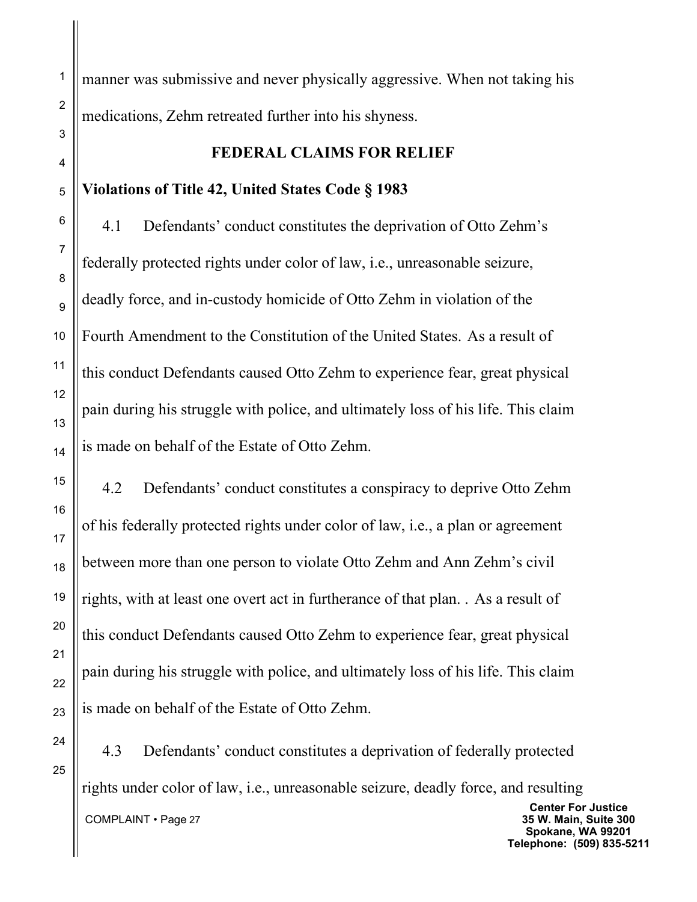manner was submissive and never physically aggressive. When not taking his medications, Zehm retreated further into his shyness.

#### **FEDERAL CLAIMS FOR RELIEF**

## **Violations of Title 42, United States Code § 1983**

4.1 Defendants' conduct constitutes the deprivation of Otto Zehm's federally protected rights under color of law, i.e., unreasonable seizure, deadly force, and in-custody homicide of Otto Zehm in violation of the Fourth Amendment to the Constitution of the United States. As a result of this conduct Defendants caused Otto Zehm to experience fear, great physical pain during his struggle with police, and ultimately loss of his life. This claim is made on behalf of the Estate of Otto Zehm.

4.2 Defendants' conduct constitutes a conspiracy to deprive Otto Zehm of his federally protected rights under color of law, i.e., a plan or agreement between more than one person to violate Otto Zehm and Ann Zehm's civil rights, with at least one overt act in furtherance of that plan. . As a result of this conduct Defendants caused Otto Zehm to experience fear, great physical pain during his struggle with police, and ultimately loss of his life. This claim is made on behalf of the Estate of Otto Zehm.

25

 COMPLAINT • Page 27 **Center For Justice 35 W. Main, Suite 300 Spokane, WA 99201 Telephone: (509) 835-5211** 4.3 Defendants' conduct constitutes a deprivation of federally protected rights under color of law, i.e., unreasonable seizure, deadly force, and resulting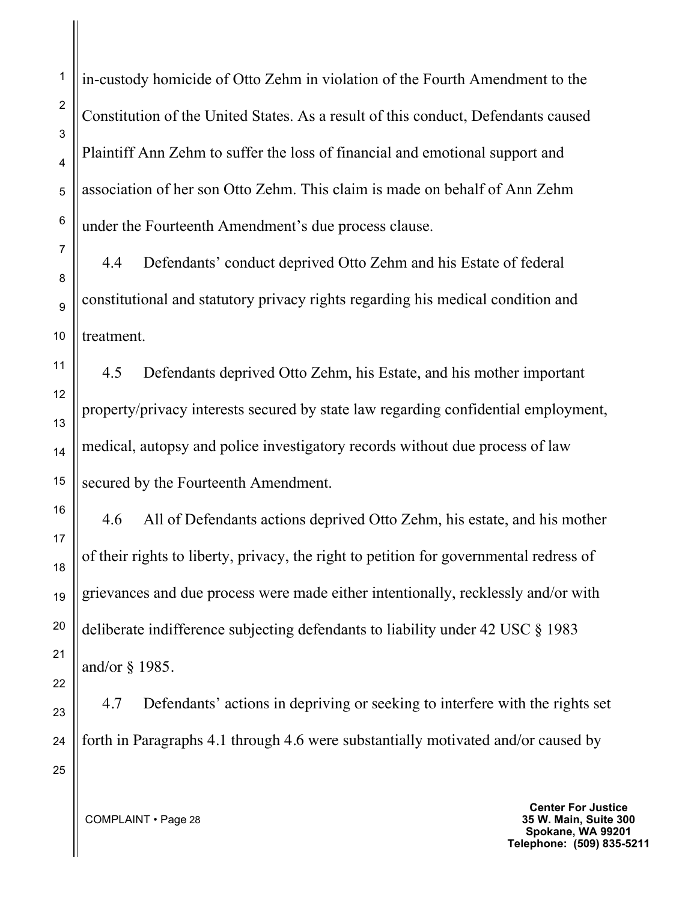in-custody homicide of Otto Zehm in violation of the Fourth Amendment to the Constitution of the United States. As a result of this conduct, Defendants caused Plaintiff Ann Zehm to suffer the loss of financial and emotional support and association of her son Otto Zehm. This claim is made on behalf of Ann Zehm under the Fourteenth Amendment's due process clause.

4.4 Defendants' conduct deprived Otto Zehm and his Estate of federal constitutional and statutory privacy rights regarding his medical condition and treatment.

4.5 Defendants deprived Otto Zehm, his Estate, and his mother important property/privacy interests secured by state law regarding confidential employment, medical, autopsy and police investigatory records without due process of law secured by the Fourteenth Amendment.

4.6 All of Defendants actions deprived Otto Zehm, his estate, and his mother of their rights to liberty, privacy, the right to petition for governmental redress of grievances and due process were made either intentionally, recklessly and/or with deliberate indifference subjecting defendants to liability under 42 USC § 1983 and/or § 1985.

4.7 Defendants' actions in depriving or seeking to interfere with the rights set forth in Paragraphs 4.1 through 4.6 were substantially motivated and/or caused by

COMPLAINT • Page 28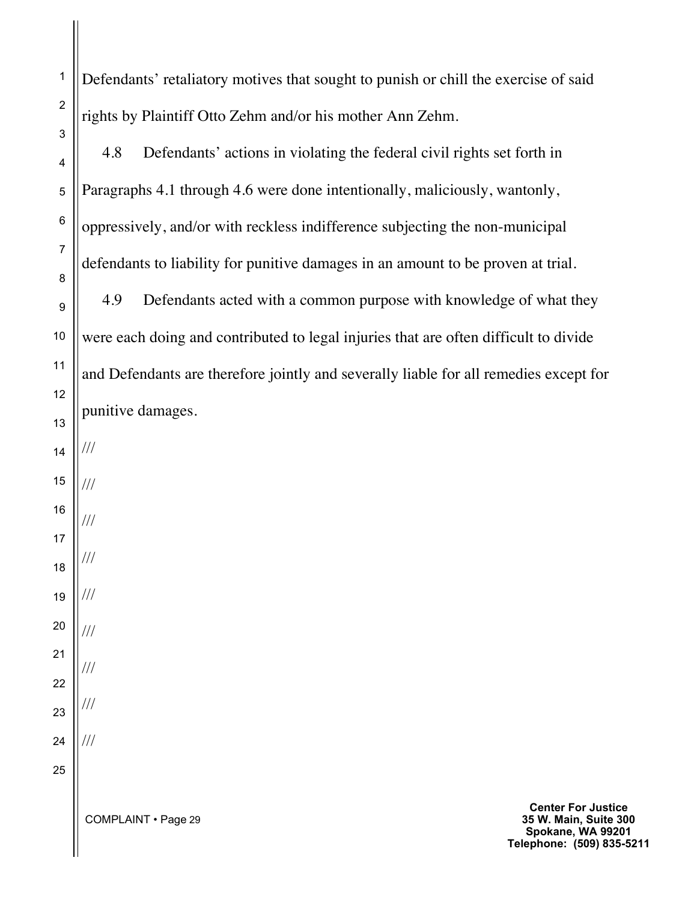Defendants' retaliatory motives that sought to punish or chill the exercise of said rights by Plaintiff Otto Zehm and/or his mother Ann Zehm.

4.8 Defendants' actions in violating the federal civil rights set forth in Paragraphs 4.1 through 4.6 were done intentionally, maliciously, wantonly, oppressively, and/or with reckless indifference subjecting the non-municipal defendants to liability for punitive damages in an amount to be proven at trial.

4.9 Defendants acted with a common purpose with knowledge of what they were each doing and contributed to legal injuries that are often difficult to divide and Defendants are therefore jointly and severally liable for all remedies except for punitive damages.

25

1

2

3

4

5

6

7

8

9

10

11

12

///

///

///

///

///

///

///

///

///

COMPLAINT • Page 29